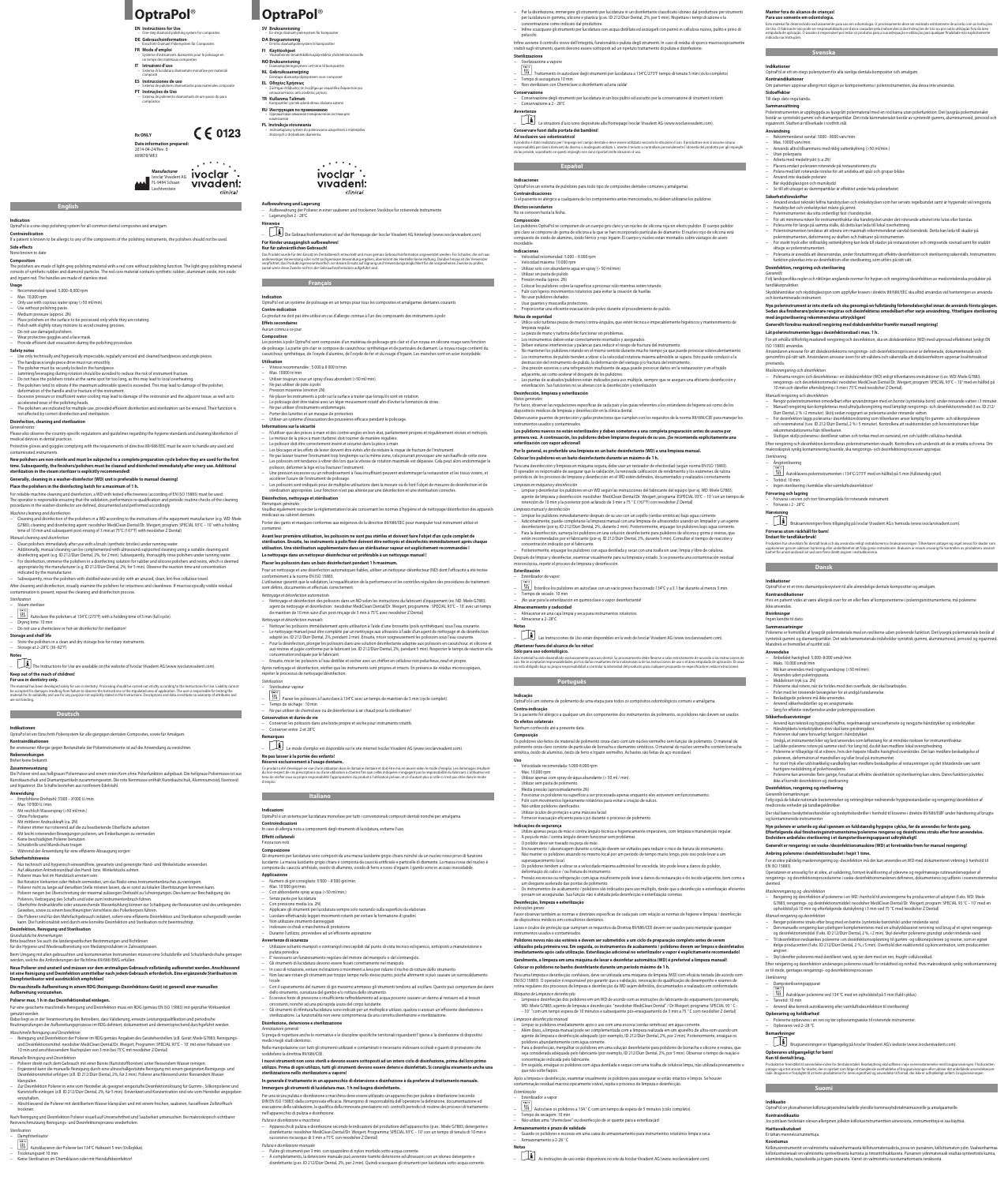**English**

**Indication** OptraPol is a one-step polishing system for all common dental composites and amalgam.

**Contraindication**

If a patient is known to be allergic to any of the components of the polishing instruments, the polishers should not be used. **Side effects**

# None known to date

**Composition**<br>The polishers are made of light-grey polishing material with a red core without polishing function. The light-grey polishing material<br>consists of synthetic rubber and diamond particles. The red core material

### **Usage** ended speed: 5,000–8,000 rpm

− Max. 10,000 rpm

− Only use with copious water spray (>50 ml/min).

- 
- − Use without polishing paste.<br>− Medium pressure (approx. 2N)<br>− Place polishers on the surface to be processed only while they are rotating.<br>− Polish with slightly rotary motions to avoid creating grooves.
- Do not use damaged polishers.

− Wear protective goggles and a face mask. − Provide efficient dust evacuation during the polishing procedure.

- **Safety notes**<br>− ∪se only technically and hygienically impeccable, regularly serviced and cleaned handpieces and angle pieces. − The handpiece/angle piece drive must run smoothly.<br>− The polisher must be securely locked in the handpiece.<br>− Jamming/leveraging during rotation should be avoided to reduce the risk of instrument fracture.
- 
- Do not have the polishers rotate at the same spot for too long, as this may lead to local overheating.
- The polishers tend to vibrate if the maximum admissible speed is exceeded. This may lead to damage of the polisher,
	-
- deformation of the handle and/or fracture of the instrument.<br>– Excessive pressure or insufficient water cooling may lead to damage of the restoration and the adjacent tissue, as well as to<br>accelerated wear of the polishing
- − The polishers are indicated for multiple use, provided efficient disinfection and sterilization can be ensured. Their function is not affected by correct disinfection and sterilization.

Protective gloves and goggles complying with the requirements of directive 89/686/EEC must be worn to handle any used and contaminated instruments.

# New polishers are non-sterile and must be subjected to a complete preparation cycle before they are used for the first<br>time. Subsequently, the finishers/polishers must be cleaned and disinfected immediately after every use

### **Disinfection, cleaning and sterilization** *General notes:*

Please also observe the country-specific regulations and guidelines regarding the hygiene standards and cleaning/disinfection of medical devices in dental practices.

— Cleaning and disinfection of the polishers in a WD according to the instructions of the equipment manufacturer (e.g. WD: Miele<br>G7883; cleaning and disinfecting agent: neodisher MediClean Dental/Dr. Weigert; program: SP

– Additionally, manual cleaning can be complemented with ultrasound-supported cleaning using a suitable cleaning and<br>disinfecting agent (e.g. ID 212/Dürr Dental, 2%, for 2 min). Subsequently, thoroughly rinse polishers und – for disinfection, immerse the polishers in a disinfecting solution for rubber and silicone polishers and resins, which is deemed<br>appropriate by the manufacturer (e.g. ID 212/Dürr Dental, 2%, for 5 min). Observe the react − Subsequently, rinse the polishers with distilled water and dry with an unused, clean, lint-free cellulose towel. After cleaning and disinfection, visually examine the polishers for intactness and cleanliness. If macroscopically visible residual contamination is present, repeat the cleaning and disinfection process.

The Instructions for Use are available on the website of Ivoclar Vivadent AG (www.ivoclarvivadent.com)

The material has been developed solely for use in denistry. Processing should be carried out strict parocompar<br>be accepted for damages resulting from failure to observe the Instructions or the stipulated area of applicatio

**Generally, cleaning in a washer-disinfector (WD) unit is preferable to manual cleaning!**

OptraPol ist ein Einschritt-Poliersystem für alle gängigen dentalen Composites, sowie für Amalgam. **Kontraindikationen**<br>Bei erwiesener Allergie gegen Bestandteile der Polierinstrumente ist auf die Anwendung zu verzichten.

− Drying time: 10 min<br>− Do not use a chemiclave or hot-air disinfector for sterilization!

# **Place the polishers in the disinfecting batch for a maximum of 1 h.**

**Nebenwirkungen** Bisher keine bekannt

For reliable machine cleaning and disinfection, a WD with tested effectiveness (according of EN ISO 15883) must be used.

ndar cleaning and disince tion<br>
Clean polishers immediately after use with a brush (synthetic bristles) under running water.

*Machine cleaning and disinfection*

*Manual cleaning and disinfection*

− Reinigung und Desinfektion der Polierer im RDG gemäss Angaben des Geräteherstellers (z.B. Gerät: Miele G7883; Reinigungsund Desinfektionsmittel: neodisher MediClean Dental/Dr. Weigert; Programm: SPECIAL 93°C – 10′ mit einer Haltezeit von<br>10 min und anschliessendem Nachspülen von 3 min bei 75°C mit neodisher Z Dental)

*Sterilization* − Steam sterilizer

− Autoclave the polishers at 134°C (273°F) with a holding time of 5 min (full cycle).

**Storage and shelf life**

− Store the polishers in a clean and dry storage box for rotary instruments. − Storage at 2–28°C (36–82°F)

**Notes**

**Keep out of the reach of children! For use in dentistry only.**

- 
- Polierer direkt nach dem Gebrauch mit einer Bürste (Kunststoffborsten) unter fliessendem Wasser reinigen.<br>– Ergänzend kann die manuelle Reinigung durch eine ultraschallgestützte Reinigung mit einem geeigneten Reinigungsklarspülen.
- Zur Desinfektion Polierer in eine vom Hersteller als geeignet eingestufte Desinfektionslösung für Gummi-, Silikonpolierer und<br>Kunststoffe einlegen (z.B. ID 212/Dürr Dental, 2%, für 5 min). Einwirkzeit und Konzentration s einzuhalten. − Abschliessend die Polierer mit destilliertem Wasser klarspülen und mit einem frischen, sauberen, fusselfreien Zellstofftuch
- trocknen.

.<br>Nach Reinigung und Desinfektion Polierer visuell auf Unversehrtheit und Sauberkeit untersuchen. Bei makroskopisch sic Restverschmutzung Reinigungs- und Desinfektionsprozess wiederholen.

- − Dampfsterilisator
- − Autoklavieren der Polierer bei 134°C Haltezeit 5 min (Vollzyklus)
- 
- − Trocknungszeit 10 min<br>− Keine Sterilisation im Chemiklaven oder mit Heissluftdesinfektor!

**Indicazioni**<br>OptraPol è un sistema per lucidatura monofase per tutti i convenzionali compositi dentali nonché per amalgama.

# **Controindicazioni**<br>In caso di allergia nota a componenti degli strumenti di lucidatura, evitarne l'uso.

**Manufacturer** Ivoclar Vivadent AG FL-9494 Schaan vivadent: Liechtenstein clinical

 $C \in 0123$ **Rx ONLY Date information prepared:** 

**Deutsch**

**Indikationen**

- 
- **EN Instructions for Use**<br>- One-step diamond polishi
- One-step diamond polishing system for composites **DE Gebrauchsinformation** Einschritt-Diamant-Poliersystem für Composites
- **FR Mode d'emploi** – Système d'instruments diamantés pour le polissage en
- un temps des matériaux composites **IT Istruzioni d'uso**
- Sistema di lucidatura diamantato monofase per materiali compositi **ES Instrucciones de uso**
- Sistema de pulidores diamantados para materiales composite **PT Instruções de Uso**
- Sistema de polimento diamantado de um-passo do para compósitos

**Anwendung**

- − Empfohlene Drehzahl: 5'000 8'000 U./min. − Max. 10'000 U./min.
- − Mit reichlich Wasserspray (>50 ml/min.)
- 
- − Ohne Polierpaste
- − Mit mittlerer Andruckkraft (ca. 2N)
- − Polierer immer nur rotierend auf die zu bearbeitende Oberfläche aufsetzen
- − Mit leicht rotierenden Bewegungen polieren, um Einkerbungen zu vermeiden<br>− Keine beschädigten Polierer benutzen<br>− Schutzbrille und Mundschutz tragen
- 
- 
- − Während der Anwendung für eine effiziente Absaugung sorgen

- **Sicherheitshinweise**<br>− Nur technisch und hygienisch einwandfreie, gewartete und gereinigte Hand- und Winkelstücke verwenden.<br>− Auf akkuraten Antriebsrundlauf des Hand- bzw. Winkelstücks achten.
- − Polierer muss fest im Handstück arretiert sein.
- 
- − Bei Rotation Verkanten oder Hebeln vermeiden, um das Risiko eines Instrumentenbruches zu verringern.
- CPolierer nicht zu lange auf derselben Stelle rotieren lassen, da es sonst zu lokalen Uberhitzungen kommen kann.<br>– CPolierer neigen bei Überschreitung der maximal zulässigen Drehzahl zu Schwingungen. Dies kann zur Beschä
- Polierers, Verbiegung des Schafts und/oder zum Instrumentenbruch führen.<br>− Überhöhte Andruckkräfte oder unzureichende Wasserkühlung können zur Schädigung der Restauration und des umliegenden Gewebes, sowie zu einem beschleunigten Verschleiss des Polierkörpers führen.
- Die Polierer sind für den Mehrfachgebrauch indiziert, sofern eine effiziente Desinfektion und Sterilisation sichergestellt werden<br>kann. Die Funktionalität wird durch eine korrekte Desinfektion und Sterilisation nicht be

− Pression moyenne (environ 2N)<br>− Ne placer les instruments à polir sur la surface à traiter que lorsqu'ils sont en rotation. − Le polissage doit être réalisé avec un léger mouvement rotatif afin d'éviter la formation de stries.<br>− Ne pas utiliser d'instruments endommagés.<br>− Porter des lunettes et un masque de protection. − Utiliser un système d'évacuation des poussières efficace pendant le polissage.

# The operator is responsible ensuring that the validation, performance re-qualification and periodic routine checks of the cleaning<br>procedures in the washer-disinfector are defined, documented and performed accordingly. **Désinfection, nettoyage et stérilisation**

*Remarques générales :*<br>Veuillez également respecter la réglementation locale concernant les normes d'hygiène et de nettoyage/désinfection des appareils médicaux au cabinet dentaire.

# **Desinfektion, Reinigung und Sterilisation**

- 
- *Grundsätzliche Anmerkungen*<br>Bitte beachten Sie auch die länderspezifischen Bestimmungen und Richtlinien<br>für die Hygiene und Wiederaufbereitung von Medizinprodukten in Zahnarztpraxen.
- 

Beim Umgang mit allen gebrauchten und kontaminierten Instrumenten müssen eine Schutzbrille und Schutzhandschuhe getragen werden, welche die Anforderungen der Richtlinie 89/686/EWG erfüllen.

# Neue Polierer sind unsteril und müssen vor dem erstmaligen Gebrauch vollständig aufbereitet werden. Anschliessend<br>ist eine Reinigung und Desinfektion unmittelbar nach jedem Gebrauch erforderlich. Eine ergänzende Sterilisat

*Nettoyage et désinfection automatisés* − Nettoyage et désinfection des polissoirs dans un ND selon les instructions du fabricant d'équipement (ex. ND: Miele G7883; agent de nettoyage et désinfection : neodisher MediClean Dental/Dr. Weigert; programme : SPECIAL 93°C – 10' avec un temps<br>de maintien de 10 min suivi d'un post-rinçage de 3 min à 75°C avec neodisher Z Dental)

**Die maschinelle Aufbereitung in einem RDG (Reinigungs-Desinfektions-Gerät) ist generell einer manuellen Aufbereitung vorzuziehen.**

# **Polierer max. 1 h in das Desinfektionsbad einlegen.**

Für eine gesicherte maschinelle Reinigung und Desinfektion muss ein RDG (gemäss EN ISO 15883) mit geprüfter Wirksamkeit genutzt werden.

Dabei liegt es in der Verantwortung des Betreibers, dass Validierung, erneute Leistungsqualifikation und periodische<br>Routineprüfungen der Aufbereitungsprozesse im RDG definiert, dokumentiert und dementsprechend durchgeführ

- 
- Nettoyer les polissoirs immédiatement après utilisation à l'aide d'une brossette (poils synthétiques) sous l'eau courante.<br>– Le nettoyage manuel peut être complété par un nettoyage aux ultrasons à l'aide d'un agent de su − Pour la désinfection, plonger les polissoirs dans une solution désinfectante adaptée aux polissoirs en caoutchouc et silicone et
- aux résines et jugée conforme par le fabricant (ex. ID 212/Dürr Dental, 2%, pendant 5 min). Respecter le temps de réaction et la concentration indiquée par le fabricant.
- − Ensuite, rincer les polissoirs à l'eau distillée et sécher avec un chiffon en cellulose non pelucheux, neuf et propre. Après nettoyage et désinfection, vérifier que les instruments sont propres et intacts. En présence de résidus microscopiques,

### répéter le processus de nettoyage/désinfectio *Stérilisation* − Stérilisateur vapeur

*Maschinelle Reinigung und Desinfektion*

*Manuelle Reinigung und Desinfektion*

Die Polierer sind aus hellgrauer Poliermasse und einem roten Kern ohne Polierfunktion aufgebaut. Die hellgraue Poliermasse ist aus<br>Die Polierer sind aus hellgrauer Poliermasse und einem roten Kern ohne Polierfunktion aufge Die Polierer sind aus hellgrauer Poliermasse und einem roten Kern ohne Polierfunktion aufgebaut. Die hellgraue Poliermasse ist aus<br>Kunstkautschuk und Diamantpartikeln zusammengesetzt. Die rote Kernmasse enthält Kunstkautsc Ce produit a été développé en vue d'une utilisation dans le domaine dentaire et doit être mis en œuvre selon l<br>du non-respect de ces prescriptions ou d'une utilisation à d'autres fins de l'autres de la production de la pr<br> d'emploi.

> Gli strumenti per lucidatura sono composti da una massa lucidante grigio chiara nonché da un nucleo rosso privo di funzione<br>lucidante. La massa lucidante grigio chiara è composta da caucciù artificiale e particelle di diam composta da: caucciù artificiale, ossido di alluminio, ossido di ferro e rosso d'irgazin. I gambi sono in acciaio inossidabile.

- − Utilizzare soltanto manipoli e contrangoli ineccepibili dal punto di vista tecnico ed igienico, sottoposti a manutenzione e pulizia periodica
- − E' necessario un funzionamento regolare del motore del manipolo o del contrangolo.
- − Gli strumenti di lucidatura devono essere fissati correttamente nel manipolo.
- 
- In caso di rotazione, evitare inclinazioni o movimenti a leva per ridurre il rischio di rotture dello strumento.<br>– Non lasciare rotare gli strumenti per troppo tempo nello stesso punto, poiché altrimenti si può c locale. − Con il superamento del numero di giri massimo ammesso gli strumenti tendono ad oscillare. Questo può comportare dei danni
- dello strumento, curvatura del gambo e/o rottura dello strumento.
- − Eccessive forze di pressione o insufficiente raffreddamento ad acqua possono causare un danno al restauro ed ai tessuti
- circostanti, nonché ad una più rapida usura del corpo lucidante.<br>— Gli strumenti di rifinitura/lucidatura sono indicati per un molteplice utilizzo, qualora si assicuri un'efficiente disinfezione e<br>sterilizzazione. La funzi

# *Sterilisation*

# **OptraPol**®

*Annotazioni generali* Si prega di rispettare anche le normative e le discipline specifiche territoriali riguardanti l'igiene e la disinfezione di dispositivi medici negli studi dentistic

2014-04-24/Rev. 0 669878/WE3

**OptraPol**®

**SV Bruksanvisning** – En-stegs-diamant-polersystem för kompositer

**DA Brugsanvisning**

- − Apparecchi di pulizia e disinfezione secondo le indicazioni del produttore dell'apparecchio (p.es.: Miele G7883; detergente e disinfettante: neodisher MediClean Dental/Dr. Weigert; Programma: SPECIAL 93°C – 10' con un tempo di tenuta di 10 min e successivo risciacquo di 3 min a 75°C con neodisher Z Dental)
- *Pulizia e disinfezione manua* 
	-
	- Pulire gli strumenti per 3 min. con spazzolino di nylon morbido sotto acqua corrente.<br>– A completamento, la detersione manuale può avvenire tramite detersione ad ultrasuoni con un idoneo detergente e<br>

– Et-trins diamantpolersystem til kompositter **FI Käyttöohjeet** – Yksivaiheinen timanttikiillotusjärjestelmä yhdistelmämuoveille

**NO Bruksanvisning**

– Diamantpoleringssystem i ett trinn til kompositter **NL Gebruiksaanwijzing** – Eénstaps-diamantpolijstsysteem voor composiet **EL Οδηγίες Χρήσεως**<br>– Σύστημα στίλβωσης σε ένα βήμα με σωματίδια διαμαντιού για αποκαταστάσεις από σύνθετες ρητίνες **TR Kullanma Talimatı** – Kompozitler için tek adımlı elmas cilalama sistemi **RU Инструкция по применению** – Одношаговая алмазная полировочная система для

композитов **PL Instrukcja stosowania**

– Lagerung der Politicianung der Politicianung<br>Lagerung bei 2 - 28°C

– Jednoetapowy system do polerowania uzupełnień z materiałów złożonych z drobinkami diamentu.

**Aufbewahrung und Lagerung**<br>− Aufbewahrung der Polierer in einer sauberen und trockenen Steckbox für rotierende Instrumente

clinical

 $\mathbf{r}$  . The set of  $\mathbf{r}$ ivoclar

vivadent:

- 
- − Trattamento in autoclave degli strumenti per lucidatura a 134°C/273°F tempo di tenuta 5 min (ciclo completo) − ⊥Tempo di asciugatura 10 min<br>− ∆Non sterilizzare con Chemiclave o disinfettanti ad aria calda!

**Hinweise**

– Die Gebrauchsinformation ist auf der Homepage der Ivoclar Vivadent AG hinterlegt (www.ivoclarvivadent.com).

Das Produkt wurde für den Einsatz im Dentalbereich entwickelt und muss gemäss Gebrauchsinfon angewendet werden. Pür Schäden, die sich aus<br>anderweitiger Verwendung oder nicht sachgemässer Anwendung ergeben, übernimmt der He

Les pointes à polir OptraPol sont composées d'un matériau de polissage gris clair et d'un noyau en silicone rouge sans fonction<br>de polissage. La partie gris clair se compose de caoutchouc synthétique et de particules de di

− Conservazione degli strumenti per lucidatura in un box pulito ed asciutto per la conservazione di strumenti rotanti<br>− Conservazione a 2 - 28°C **Avvertenze**  – Le istruzioni d'uso sono depositate alla Homepage Ivoclar Vivadent AG (www.ivoclarvivadent.com).

**Für Kinder unzugänglich aufbewahren! Nur für zahnärztlichen Gebrauch!**

**Ad esclusivo uso odontoiatrico!** ll prodotto è stato realizzato per i impiego nel campo dentale e deve essere utilizzato secondo le istruzioni duso. Il produttore non si assume alcuna<br>responsabilità per danni derivanti da diveso o inadeguato cultizzo. L'u

# **Español** de la Español de la Caracción de la Caracción de la Caracción de la Caracción de la Caracción de la Ca

**Indicaciones** nuncaciones<br>OptraPol es un sistema de pulidores para todo tipo de composites dentales comunes y amalgama

**Français**

− Vitesse recommandée : 5 000 à 8 000 tr/min<br>− Max. 10000 tr/min<br>− Utiliser toujours sous un spray d'eau abondant (>50 ml/min).

**Composición**<br>Los pulidores OptraPol se componen de un cuerpo gris claro y un núcleo de silicona roja sin efecto pulidor. El cuerpo pulidor<br>gris claro se compone de goma de silicona a la que se han incorporado partículas d inoxidable.

- **Indicaciones** − Velocidad recomendad: 5.000 – 8.000 rpm
- 
- − ∨elocidad máxima: 10.000 rpm<br>− ∪tilizar solo con abundante agua en spray (> 50 ml/min)
- Utilizar sin pasta de pulido
- − Presión media (aprox. 2N)<br>− Colocar los pulidores sobre la superficie a procesar sólo mientras estén rotando.
- − Pulir con ligeros movimientos rotatorios para evitar la creación de huellas.
- − No usar pulidores dañados.
- − ∪sar guantes y mascarilla protectores.<br>− Proporcionar una eficiente evacuación de polvo durante el procedimiento de pulido.

**Effets secondaires** Aucun connu à ce jour **Composition**

- **Notas de seguridad** −-<br>turbinas piezas de mano/contra-ángulos, que estén técnica e impecablemente higiénicos y mantenimiento de
- limpieza regular. − La pieza de mano y turbina debe funcionar sin problemas..
- 
- 
- Los instrumentos deben estar correctamente insertados y asegurados.<br>1991 Deben evitarse interferencias y palancas para reducir el riesgo de fractura del instrumento.<br>2008 No mantener los pulidores rotando en el mismo
- adyacente, así como acelerar el desgaste de los pulidores. − Las puntas de acabados/pulidores están indicados para uso múltiple, siempre que se asegure una eficiente desinfección y<br>esterilización. Sus funciones no se alteran con la desinfección y esterilización.

**Utilisation**

− Ne pas utiliser de pâte à polir.

*Notas generales:*<br>Por favor, observar las regulaciones específicas de cada país y las guías referentes a los estándares de higiene así como de los<br>dispositivos médicos de limpieza y desinfección en la clínica dental. Deben usarse guantes de protección y gafas protectoras que cumplan con los requisitos de la norma 89/686/CEE para manejar los

Los pulidores nuevos no están esterilizados y deben someterse a una completa preparación antes de usarse por<br>primera vez. A continuación, los pulidores deben limpiarse después de su uso. ¡Se recomienda explícitamente una<br>

Para una desinfección y limpieza en máquina segura, debe usar un testeador de efectividad (según norma EN ISO 15883).<br>El operador es responsable de asegurar que la validación, la renovada calificación de rendimiento y los

**Informations sur la sécurité**

− N'utiliser que des pièces à main et des contre-angles en bon état, parfaitement propres et régulièrement révisés et nettoyés.

– Les blocages et les effets de levier doivent être évités afin de réduire le risque de fracture de l'instrument.<br>– Ne pas laisser tourner l'instrument trop longtemps sur la même zone, cela pourrait provoquer une surchauff

– Une pression excessive ou un refroidissement à l'eau insuffisant peuvent endommager la restauration et les tissus voisins, et<br>← Les polissoirs out instrument de polissage.<br>← Les polissoirs sont indiqués pour de multipl

**Indication**<br>OptraPol est un système de polissage en un temps pour tous les composites et amalgames dentaires courants **Contre-indication**<br>Ce produit ne doit pas être utilisé en cas d'allergie connue à l'un des composants des instruments à polir.

> − Limpiar y desinfectar los pulidores en un WD según las instrucciones del fabricante del equipo (por ej. WD: Miele G7883; agente de limpieza y desinfección: neodisher MediClean Dental/Dr. Weigert; programa: ESPECIAL 93°C – 10 ′con un tiempo de<br>retención de 10 min y la posterior post-aclarado de 3 min a 75 °C (167°F) con neodisher Z Dental)

Adicionalmente, puede completarse la limpieza manual con una limpieza de ultrasonidos usando un limpiador y un agente<br>desinfectante (por ej. ID 212/Dürr Dental, 2%, durante 2 min). Posteriormente, enjuagar los pulidores ba

− Le moteur de la pièce à main (turbine) doit tourner de manière régulière. − Le polissoir doit être correctement inséré et sécurisé dans la pièce à main.

polissoir, déformer la tige et/ou fracturer l'instrument.

# Porter des gants et masques conformes aux exigences de la directive 89/686/EEC pour manipuler tout instrument utilisé et

Os polidores são feitos de material de polimento cinza-claro com um núcleo vermelho sem função de polimento. O material de polimento cinza claro consiste de partículas de borracha e diamantes sintéticos. O material do núcleo vermelho contém borracha<br>sintética, óxido de alumínio, óxido de ferro e Irgazin vermelho. As hastes são feitas de aço in

contaminé. **Avant leur première utilisation, les polissoirs ne sont pas stériles et doivent faire l'objet d'un cycle complet de stérilisation. Ensuite, les instruments à polir/finir doivent être nettoyés et désinfectés immédiatement après chaque utilisation. Une stérilisation supplémentaire dans un stérilisateur vapeur est explicitement recommandée !**

# **Le nettoyage dans un nettoyeur-désinfecteur est préférable à un nettoyage manuel !**

- Polir com movimentos ligeiramente rotatórios
- Não utilize polidores danificados.

**Placer les polissoirs dans un bain désinfectant pendant 1 h maximum.**

- A peça de mão / contra ângulo devem funcionar sem problemas.
- O polidor deve ser travado na peça de mão.
- Encravamento / alavancagem durante a rotação devem ser evitados para reduzir o risco de fratura do instrumento. – Não manter os polidores atuando no mesmo local por um período de tempo muito longo, pois isso pode levar a um
- superaquecimento local. Os polidores tendem a vibrar se a velocidade máxima admissível for excedida. Isto pode levar a danos do polidor,
- deformação do cabo e / ou fratura do instrumento.
- Pressão excessiva ou refrigeração com água insuficiente pode levar a danos da restauração e do tecido adjacente, bem como a um desgaste acelerado das pontas de polimento.
- Os instrumentos de acabamento / polidores são indicados para uso múltiplo, desde que a desinfecção e esterilização eficientes sam ser asseguradas. Sua função não é afetada pela desinfecção e esteriliza

Pour un nettoyage et une désinfection automatiques fiables, utiliser un nettoyeur-désinfecteur (ND) dont l'efficacité a été testée conformément à la norme EN ISO 15883.

L'utilisateur garantit que la validation, la requalification de la performance et les contrôles réguliers des procédures de traitement

# sont définis, documentés et effectués correctement.

*Nettoyage et désinfection manuels*

Para uma limpeza e desinfecção confiáveis, deve ser utilizada uma máquina de limpeza (WD) com eficácia testada (de acordo com<br>EN ISO 15883). O operador é responsável por garantir que a validação, renovação de qualificação *Máquina de Limpeza e desinfecção*

– Limpeza e desinfecção dos polidores em um WD de acordo com as instruções do fabricante do equipamento (por exemplo, WD: Miele G7883; agente de limpeza e desinfecção: "neodisher MediClean Dental" / Dr Weigert; programa: SPECIAL 93 °C<br>– 10' "com um tempo espera de 10 minutos e subsequente pós-enxaguamento de 3 min a 75 °C com neodisher Z

– Além disso, a limpeza manual pode ser complementada com a limpeza realizada em um aparelho de ultra-som usando um<br>agente de limpeza e desinfecção adequado (por exemplo, ID 212/Dürr Dental, 2%, por 2 min). Posteriormente, polidores abundantemente com água corrente. – Para a desinfecção, mergulhar os polidores em uma solução desinfetante para polidores de borracha e silicone e resinas, que seja considerada adequada pelo fabricante (por exemplo, ID 212/Dürr Dental, 2%, por 5 min). Observar o tempo de reação e

- 
- − Passer les polissoirs à l'autoclave à 134°C avec un temps de maintien de 5 min (cycle complet).
- − Temps de séchage : 10 min − Ne pas utiliser de chemiclave ou de désinfecteur à air chaud pour la stérilisation !
- **Conservation et durée de vie**
- − Conserver les polissoirs dans une boite propre et sèche pour instruments rotatifs.
- − Conserver entre 2 et 28°C
- **Remarques**
- 
- -

– Le mode d'emploi est disponible sur le site internet Ivoclar Vivadent AG (www.ivoclarvivadent.com).

- er la disintezione, immergere gli strumenti per lucidatura in un disintettante classificato idoneo dal produttore per strumenti<br>per lucidatura in gomma, silicone e plastica (p.es. ID 212/Dürr Dental, 2%, per 5 min). Rispet
- pelucchi. infine avviene il controllo visivo dell'integrita, funzionalita e pulizia degli strumenti. In caso di residui di sporco macroscopicamente<br>visibili sugli strumenti, questi devono essere sottoposti ad un ripetuto trattamento

**Ne pas laisser à la portée des enfants!**

**Réservé exclusivement à l'usage dentaire.**

Este material foi desenvolvido exclusivamente para uso em odontologia. O processamento deve ser realizado estritamente de acordo com as Instruções<br>de Uso. O fabricante não pode ser responsabilizado por danos causados pela estipulada de aplicação. O usuário é responsável por testar os produtos para a sua adequação e utilização para qualquer finalidade não explicitamente

Polennstrumenten ar uppbyggda av ljusgratt polermaterial med en rod karna utan polerfunktion. Det ljusgraa polermaterialet<br>består av syntetiskt gummi och diamantpartiklar. Det röda kärnmaterialet består av syntetiskt gummi

**Säkerhetsföreskrifter**<br>– Använd endast tekniskt felfria handstycken och vinkelstycken som har servats regelbundet samt är hygiensikt väl rengjorda.<br>– Handstycket och vinkelstycket måste gå jämnt.<br>– Polerinstrumentet ska s

**Italiano**

### **Effetti collaterali**  Finora non noti.

# **Composizione**

− Polera inte för länge på samma ställe, då detta kan leda till lokal överhettning.<br>− Polerinstrumenten tenderar att vibrera om maximalt rekommenderat varvtal överskrids. Detta kan leda till skador på polerinstrumenten, deformering av skaften och frakturer på instrumenten. − För starkt tryck eller otillräcklig vattenkylning kan leda till skador på restaurationen och omgivande vävnad samt för snabbt slitage av polerinstrumenten. − Polerarna är avsedda att återanvändas, under förutsättning att effektiv desinfektion och sterilisering säkerställs. Instrumentens

**Svenska Svenska** 

## **Applicazione**

- − Numero di giri consigliato: 5'000 8'000 giri/min.
- 
- − Max. 10'000 giri/min.<br>− Con abbondante spray acqua (>50 ml/min.)<br>− Senza pasta per lucidatura<br>− Con pressione media (ca. 2N)
- 
- 
- − Applicare gli strumenti per lucidatura sempre solo ruotando sulla superficie da elaborare.
- − ⊥ucidare effettuando leggeri movimenti rotanti per evitare la formazione di gradini<br>− Non utilizzare strumenti danneggiati
- − Indossare occhiali e mascherina di protezione
- − Durante l'utilizzo, provvedere ad un'efficiente aspirazione

Generellt föredras maskinell rengöring med diskdesinfektor framför ma **Låt polerinstrumenten ligga i desinfektionsbad i max. 1 h.**

## **Avvertenze di sicurezza**

− Ingen sterilisering i kemiklav eller varmluftsdesinfektion! **Förvaring och lagring**<br>− Förvaras i en ren och torr förvaringslåda för roterande instrument.<br>− Förvaras i 2 - 28°C

## **Disinfezione, detersione e sterilizzazione**

ikke anvende **Bivirkninger** Ingen kendte til dato.

**Sammensætninger**<br>Polererne er fremstillet af lysegråt polermateriale med en rød kerne uden polerende funktion. Det lysegrå polermateriale består af syntetisk gummi og diamantpartikler. Det røde kernemateriale indeholder syntetisk gummi, aluminiumoxid, jernoxid og irgazinrød. Mandrels er fremstillet af rustfrit stål.

Nella manipolazione con tutti gli strumenti utilizzati e contaminati è necessario indossare occhiali e guanti di protezione che soddisfano la direttiva 89/686/CEE.

− Poler med let roterende bevægelser for at undgå furedannelse.<br>− βeskadigede polerere må ikke anvendes.<br>− Anvend sikkerhedsbriller og en ansigtsmaske. − Sørg for effektiv støvfjernelse under poleringsproceduren.

### **I nuovi strumenti non sono sterili e devono essere sottoposti ad un intero ciclo di disinfezione, prima del loro primo utilizzo. Prima di ogni utilizzo, tutti gli strumenti devono essere detersi e disinfettati. Si consiglia vivamente anche una sterilizzazione nello sterilizzatore a vapore!**

### **In generale il trattamento in un apparecchio di detersione e disinfezione è da preferire al trattamento manuale.**

# **Immergere gli strumenti di lucidatura max. 1 h nel bagno disinfettante.**

Per una sicura pulizia e disinfezione a macchina deve essere utilizzato un apparecchio per pulizia e disinfezione (secondo DIN EN ISO 15883) dalla comprovata efficacia. Rimangono di responsabilità dell'operatore la definizione, documentazione ed<br>esecuzione della validazione, la qualifica della rinnovata prestazione ed i controlli periodici di nell'apparecchio di pulizia e disinfezione.

## *Pulizia e disinfezione a macchina*

Efterfølgende skal finisheringsinstrumenterne/polererne rengøres og desinficeres straks efter hver anvendelse.<br>Endvidere anbefales sterilisering i et dampsteriliseringsapparat udtrykkeligt! **Generelt er rengøring i en vaske-/desinfektionsmaskine (WD) at foretrække frem for manuel rengøring!**

– Rengør polererne straks efter brug med en børste (syntetiske børstehår) under rindende vand.<br>− Den manuelle rengøring kan yderligere komplementeres med en ultralydsbaseret rensning ved brug af et egnet rengørings-<br>− Og ifølge producenten (f.eks. ID 212/Dürr Dental, 2 %, i 5 min). Overhold den reaktionstid og koncentration, som producenten

− → → Autoklaver polererne ved 134 °C med en opholdstid på 5 min (fuld cyklus).<br>− Tørretid: 10 min − Anvend ikke kemisk autoklavering eller varmluftsdesinfektion til sterilisering!

erne opbevares i en ren og tør opbevaringsæske til roterende instrumenter.

Produktet er fremstillet til anvendelse inden for dentalområdet. Bearbejdning skal udføres i nøje overensstemmelse med brugsanvisningen. Producenten påtager sig intet ansvar for skader, der er opstået som følge af manglende overholdelse af brugsanvisningen eller udover det anbefalede anvendelsesom-<br>råde. Brugeren er forpligtet til at teste produkterne for deres egnethe

# **Sterilizzazione** − Sterlizzazione a vapore

Kiillotusinstrumentit on valmistettu vaaleanharmaasta kiillotusmateriaalista, jossa on punainen, kiillottamaton ydin. Vaaleanharmaa kiillotusmateriaali on valmistettu synteettisestä kumista ja timanttihiukkasista. Punainen ydinmateriaali sisältää synteettistä kumia,<br>alumiinioksidia, rautaoksidia ja Irgazin-punaista. Varret on valmistettu ruostumattomas

# **Conservazione**

# **Conservare fuori dalla portata dei bambini!**

**Contraindicaciones**

Si el paciente es alérgico a cualquiera de los componentes antes mencionados, no deben utilizarse los pulidores.<br>Efectos secundarios

# **Efectos secundarios** No se conocen hasta la fecha.

**Desinfección, limpieza y esterilización**

instrumentos usados y contaminados.

**Por lo general, es preferible una limpieza en un baño desinfectante (WD) a una limpieza manual.**

**Colocar los pulidores en un baño desinfectante durante un máximo de 1 h.**

− Tiempo de secado: 10 min<br>− ¡No usar para la esterilización en quimioclave o vapor desinfectante!

− Almacenar en una caja limpia y seca para instrumentos rotatorios.<br>− Almacenar a 2–28°C

*Limpieza en máquina y desinfección*

*Limpieza manual y desinfección*

− Limpiar los pulidores inmediatamente después de su uso con un cepillo (cerdas sintéticas) bajo agua corriente

concentración indicado por el fabricante. − Posteriormente, enjuagar los pulidores con agua destilada y secar con una toalla sin usar, limpia y libre de celulosa. Después de limpiar y desinfectar, examinar visualmente para su limpieza y estado. Si se presenta una contaminación residual microscópica, repetir el proceso de limpieza y desinfección.

– Esterilice los pulidores en autoclave con un vacío previo fraccionado 134°C y a 3.1 bar durante al menos 5 min.<br>∭∫ Esterilice los pulidores en autoclave con un vacío previo fraccionado 134°C y a 3.1 bar durante al menos

**Esterilización** − Esterilizador de vapor

**Almacenamiento y caducidad**

**Notas**

– Las Instrucciones de Uso están disponibles en la web de Ivoclar Vivadent AG (www.ivoclarvivadent.com).

**Indicação**<br>OptraPol é um sistema de polimento de uma etapa para todos os compósitos odontológicos comuns e amálgama.

Este material ha sido desarrollado exclusivamente para uso dental. Su procesamiento debe llevarse a cabo estrictamente de acuerdo a las instrucciones de<br>uso. No se aceptarán responsabilidades por los daños resultantes de l

**¡Mantener fuera del alcance de los niños! Sólo para uso odontológico.**

rio está obligado bajo su propia responsabilidad a controlar la ido **Português**<br>Português

nen me<br>ecido até a presente data

**Contra-indicação**

Se o paciente for alérgico a qualquer um dos componentes dos instrumentos de polimento, os polidores não devem ser usados.

**Os efeitos colaterais**

**Composição**

**Uso**

– Velocidade recomendada: 5.000-8.000 rpm

– Máx. 10.000 rpm – Utilizar apenas com spray de água abundante (> 50 ml / min). – Utilizar sem pasta de polimento. – Média pressão (aproximadamente 2N)

**Indicações de segurança**<br>– Utilize apenas peças de mão e contra ângulo técnica e higienicamente impecáveis, com limpeza e manutenção regular.

Posicionar os polidores na superfície a ser processada apenas enquanto eles estiverem em funcionamento

– Utilizar óculos de proteção e uma máscara facial. – Fornecer evacuação eficiente para o pó durante o processo de polimento.

# **Desinfecção, limpeza e esterilização**

*Indicações gerais:* Favor observar também as normas e diretrizes específicas de cada país com relação as normas de higiene e limpeza / desinfecção de dispositivos médicos em consultórios dentários.

Luvas e óculos de proteção que cumpram os requisitos da Diretiva 89/686/CEE devem ser usados para manipular quaisquer instrumentos usados e contaminados.

# Polidores novos não são estéreis e devem ser submetidos a um ciclo de preparação completo antes de serem<br>utilizados pela primeira vez. Em seguida, os instrumentos de acabamento / polidores devem ser limpos e desinfetados<br>i

# **Geralmente, a limpeza em uma máquina de lavar e desinfetar automática (WD) é preferível a limpeza manual!**

# **Colocar os polidores no banho desinfetante durante um período máximo de 1 h.**

*Limpeza e desinfecção manual*

que não solte fiapos

.<br>Ilizador a vapor

– Limpar os polidores imediatamente após o uso com uma escova (cerdas sintéticas) em água corrente.

concentração indicada pelo fabricante.

– Em seguida, enxágue os polidores com água destilada e seque com uma toalha de celulose limpa, não utilizada previamente e

Após a limpeza e desinfecção, examinar visualmente os polidores para assegurar se estão intactos e limpos. Se houver

contaminação residual macroscopicamente visível, repita o processo de limpeza e desinfecção.

*Esterilização*

− Autoclave os polidores a 134 ° C com um tempo de espera de 5 minutos (ciclo completo).

– Tempo de secagem: 10 min

– Não utilize uma "chemiclave" ou desinfecção de ar quente para a esterilização!

**Armazenamento e prazo de validade**

– Guarde os polidores e escovas em uma caixa de armazenamento para instrumentos rotatórios limpa e seca. – Armazenamento a 2-28 ° C

- **As instruções de uso estão disponíveis no site da Ivoclar Vivadent AG (www.ivoclarvivadent.com).**<br>- **As instruções de uso estão disponíveis no site da Ivoclar Vivadent AG (www.ivoclarvivadent.com).** 

**Notas**

**Manter fora do alcance de crianças! Para uso somente em odontologia.**

indicada nas Instruções.

**Indikatione** 

OptraPol är ett en-stegs polersystem för alla vanliga dentala kompositer och amalgam.

Om patienten uppvisar allergi mot någon av komponenterna i polerinstrumenten, ska dessa inte användas.

**Sidoeffekter** Till dags dato inga kända **Sammansättning**

**Användning**

− Rekommenderat varvtal: 5000 - 8000 varv/min.

− Använd inte skadade polerare − Bär skyddsglasögon och munskydd

− Se till att utsuget av dammpartiklar är effektivt under hela polerarbetet

funktion påverkas inte av desinfektion eller sterilisering, som utförs på rätt sätt.

**Desinfektion, rengöring och sterilisering**

*Generellt:* Följ landspecifika regler och riktlinjer angående normer för hygien och rengöring/desinfektion av medicintekniska produkter på

tandläkarpraktiker.

Skyddshandskar och skyddsglasögon som uppfyller kraven i direktiv 89/686/EEC ska alltid användas vid hanteringen av använda

Nya polerinstrument är inte sterila och ska genomgå en fullständig förberedelsecykel innan de används första gången.<br>Sedan ska finisherare/polerare rengöras och desinfekteras omedelbart efter varje användning. Ytterligare

För att erhålla tillförlitlig maskinell rengöring och desinfektion, ska en diskdesinfektor (WD) med utprovad effektivitet (enligt EN<br>ISO 15883) användas ISO 15883) användas.<br>Användaren ansvarar för att diskdesinfektorns rengörings- och desinfektionsprocesser är definierade, dokumenterade och<br>genomförs på rätt sätt. Användaren ansvarar även för att validera och säkerställa

Maskinrengöring och desintektion<br>— Polerama rengörs och desinfekteras i en diskdesinfektor (WD) enligt tillverkarens instruktioner (t.ex. WD: Miele G7883;<br>— rengörings- och desinfektionsmedel: neodisher MediClean Dental/Dr

— Rengor polerinstrumenten omedelbart etter användningen med en borste (syntetiska borst) under rinnande vatten i 3 minuter.<br>— Manuell rengöring kan kompletteras med ultraljudsrengöring med lämpligt rengörings- och desinfe

och kontaminerade instrument.

prestanda.

10 min och därefter eftersköljning i 3 min i 75°C med neodisher Z Dental).

**Kontraindikation** 

*Manuell rengöring och desinfektion*

rekommendationerna från tillverkaren.

− Slutligen sköljs polerarna i destillerat vatten och torkas med en oanvänd, ren och luddfri cellulosa-handduk. Efter rengöring och desinfektion kontrolleras polerinstrumenten visuellt. Kontrollera och undersök att de är intakta och rena. Om

makroskopisk synlig kontaminering kvarstår, ska rengörings- och desinfektionsprocessen upprepas.

− → <u>L222 I</u> Autoklavera polerinstrumenten i 134°C/273°F med en hålltid på 5 min (fullständig cykel).<br>− Torktid: 10 min.

*Sterilisering* − Ångsterilisering

**Hänvisning**

– Bruksanvisningen finns tillgänglig på Ivoclar Vivadent AG:s hemsida (www.ivoclarvivadent.com).

**Indikationer**<br>OptraPol er et et-trins diamantpolersystem til alle almindelige dentale kompositter og amalgam.

Produkten har utvecklats för dentalt bruk och ska användas enligt instruktionerna i bruksanvisningen. Tillverkaren påtager sig inget ansvar för skador som<br>uppkommer genom oaktsam hantering eller underlåtenhet att följa giv

**Kontraindikationer**<br>Hvis en patient vides at være allergisk over for en eller flere af komponenterne i poleringsinstrumenterne, må polererne

**Sikkerhedsanvisninger**<br>− Anvend kun teknisk og hygiejnisk fejlfrie, regelmæssigt serviceeftersete og rengjorte håndstykker og vinkelstykker.

– Polereren skal være torsvarligt tastgjort i håndstykket.<br>– Undgå, at instrumentet klier sig fast/anvendes som løftestang for at mindske risikoen for instrumentfraktur.<br>– Lad ikke polererne rotere på samme sted i for lang

**Förvaras utom räckhåll för barn! Endast för tandläkarbruk!**

**Dansk**

− Anbefalet hastighed: 5.000–8.000 omdr/min<br>− Maks. 10.000 omdr/min<br>− Må kun anvendes med rigelig vandspray (>50 ml/min).

**Anvendelse**

− Anvendes uden poleringspasta. − Middelstort tryk (ca. 2N)

− Max. 10000 varv/min.<br>− Används alltid tillsammans med riklig vattenkylning (>50 ml/min.)

− Utan polerpasta<br>− Arbeta med medeltryckt (c:a 2N)<br>− Placera endast poleraren roterande på restaurationens yta<br>− Polera med lätt roterande rörelse för att undvika att spår och gropar bildas

− Håndstykkets/vinkelstykkets drev skal køre gnidningsløst.

polereren, deformation af mandrellen og/eller brud på instrumentet.

Nye polerere er usterile og skal igennem en fuldstændig hygiejne cyklus, før de anve

− For stort tryk eller utilstrækkelig vandkøling kan medføre beskadigelse af restaureringen og det tilstødende væv samt

hurtigere nedslidning af polerhovederne.

− Polererne kan anvendes flere gange, forudsat at effektiv desinfektion og sterilisering kan sikres. Deres funktion påvirkes ikke af korrekt desinfektion og sterilisering.

**Desinfektion, rengøring og sterilisering** *Generelle bemærkninger:* Følg også de lokale nationale bestemmelser og retnings medicinske enheder på tandlægeklinikker.

Der skal bæres beskyttelseshandsker og beskyttelsesbriller i henhold til kravene i direktiv 89/686/EØF under håndtering af brugte

og kontaminerede instrumenter.

**Anbring polererne i desinfektionsbadet i højst 1 time.**

For at sikre pålidelig maskinrengøring og -desinfektion må der kun anvendes en WD med dokumenteret virkning (i henhold til

Operatøren er ansvarlig for at sikre, at validering, fornyet kvalificering af ydeevne og regelmæssige rutineundersøgelser af<br>rengørings- og desinfektionsprocedurerne i vaske-desinfektionsmaskinen defineres, dokumenteres og

Rengøring og desinfektion af polererne i en WD i henhold til anvisningerne fra producenten af udstyret (f.eks. WD: Miele<br>G7883: rengørings- og desinfektionsmiddel: neodisher MediClean Dental/Dr. Weigert: program: SPFCIAL G7883; rengørings- og desinfektionsmiddel: neodisher MediClean Dental/Dr. Weigert; program: SPECIAL 93 °C – 10' med en<br>opholdstid på 10 min og efterfølgende slutskylning i 3 min ved 75 °C med neodisher Z Dental)

dermed.

*Maskinrengøring og -desinfektion*

*Manuel rengøring og desinfektion*

angiver. − Skyl derefter polererne med destilleret vand, og tør dem med en ren, fnugfri celluloseklud.

Efter rengøring og desinfektion undersøges polererne visuelt for intakthed og renhed. Hvis makroskopisk synlig restkontaminering er til stede, gentages rengørings- og desinfektionsprocessen.

*Sterilisering* − Dampsteriliseringsapparat

**Opbevaring og holdbarhed**<br>- Polererne opbevares i en re

− Opbevares ved 2–28 °C **Bemærkninger**

– Brugsanvisningen er tilgængelig på Ivoclar Vivadent AG's website (www.ivoclarvivadent.com).

**Opbevares utilgængeligt for børn! Kun til dentalt brug.**

**Suomi**

EN ISO 15883)

**Indikaatio**

OptraPol on yksivaiheinen kiillotusjärjestelmä kaikille yleisille hammasyhdistelmämuoveille ja amalgaameille.

**Kontraindikaatio**

Jos potilaan tiedetään olevan allerginen jollekin kiillotusinstrumenttien ainesosista, instrumentteja ei saa käyttää.

− Polererne skal rotere, når de holdes mod den overflade, der skal bearbeides.<br>.

**Haittavaikutukset** Ei tähän mennessä tunnettuja. **Koostumus**